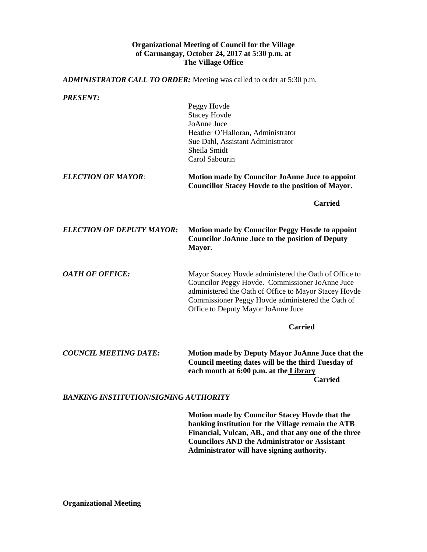## **Organizational Meeting of Council for the Village of Carmangay, October 24, 2017 at 5:30 p.m. at The Village Office**

*ADMINISTRATOR CALL TO ORDER:* Meeting was called to order at 5:30 p.m. *PRESENT:* Peggy Hovde Stacey Hovde JoAnne Juce Heather O'Halloran, Administrator Sue Dahl, Assistant Administrator Sheila Smidt Carol Sabourin *ELECTION OF MAYOR:* **Motion made by Councilor JoAnne Juce to appoint Councillor Stacey Hovde to the position of Mayor. Carried** *ELECTION OF DEPUTY MAYOR:* **Motion made by Councilor Peggy Hovde to appoint Councilor JoAnne Juce to the position of Deputy Mayor.** *OATH OF OFFICE:* Mayor Stacey Hovde administered the Oath of Office to Councilor Peggy Hovde. Commissioner JoAnne Juce administered the Oath of Office to Mayor Stacey Hovde Commissioner Peggy Hovde administered the Oath of Office to Deputy Mayor JoAnne Juce **Carried** *COUNCIL MEETING DATE:* **Motion made by Deputy Mayor JoAnne Juce that the Council meeting dates will be the third Tuesday of each month at 6:00 p.m. at the Library Carried** *BANKING INSTITUTION***/***SIGNING AUTHORITY*

> **Motion made by Councilor Stacey Hovde that the banking institution for the Village remain the ATB Financial, Vulcan, AB., and that any one of the three Councilors AND the Administrator or Assistant Administrator will have signing authority.**